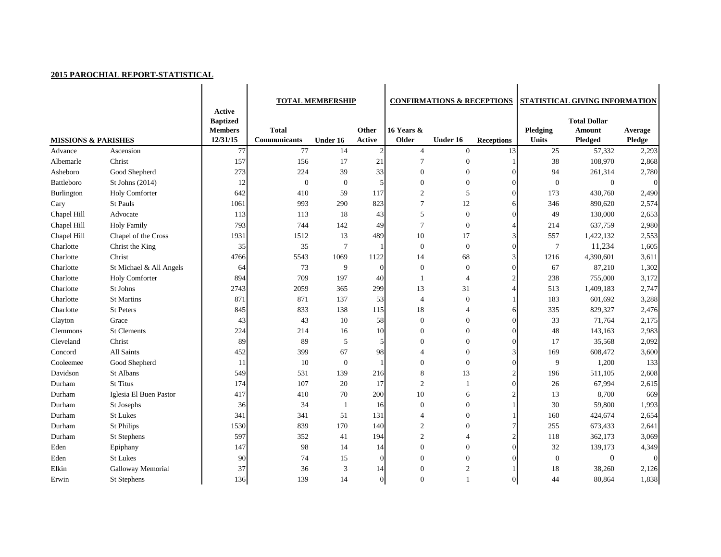## **2015 PAROCHIAL REPORT-STATISTICAL**

|                                |                         | <b>Active</b><br><b>Baptized</b> | <b>TOTAL MEMBERSHIP</b>      |                  |                 |                     | <b>CONFIRMATIONS &amp; RECEPTIONS</b> |                   | STATISTICAL GIVING INFORMATION<br><b>Total Dollar</b> |                                 |                          |  |
|--------------------------------|-------------------------|----------------------------------|------------------------------|------------------|-----------------|---------------------|---------------------------------------|-------------------|-------------------------------------------------------|---------------------------------|--------------------------|--|
| <b>MISSIONS &amp; PARISHES</b> |                         | <b>Members</b><br>12/31/15       | <b>Total</b><br>Communicants | Under 16         | Other<br>Active | 16 Years &<br>Older | Under 16                              | <b>Receptions</b> | Pledging<br><b>Units</b>                              | <b>Amount</b><br><b>Pledged</b> | Average<br><b>Pledge</b> |  |
| Advance                        | Ascension               | 77                               | 77                           | 14               | $\overline{2}$  | $\overline{4}$      | $\boldsymbol{0}$                      | 13                | 25                                                    | 57,332                          | 2,293                    |  |
| Albemarle                      | Christ                  | 157                              | 156                          | 17               | 21              | $\overline{7}$      | $\theta$                              |                   | 38                                                    | 108,970                         | 2,868                    |  |
| Asheboro                       | Good Shepherd           | 273                              | 224                          | 39               | 33              | $\mathbf{0}$        | $\theta$                              |                   | 94                                                    | 261,314                         | 2,780                    |  |
| <b>Battleboro</b>              | St Johns (2014)         | 12                               | $\overline{0}$               | $\boldsymbol{0}$ | 5               | $\overline{0}$      | $\boldsymbol{0}$                      |                   | $\theta$                                              | $\Omega$                        | $\Omega$                 |  |
| Burlington                     | <b>Holy Comforter</b>   | 642                              | 410                          | 59               | 117             | $\overline{2}$      | 5                                     | ∩                 | 173                                                   | 430,760                         | 2,490                    |  |
| Cary                           | St Pauls                | 1061                             | 993                          | 290              | 823             | $\overline{7}$      | 12                                    |                   | 346                                                   | 890,620                         | 2,574                    |  |
| Chapel Hill                    | Advocate                | 113                              | 113                          | 18               | 43              | 5                   | $\boldsymbol{0}$                      |                   | 49                                                    | 130,000                         | 2,653                    |  |
| Chapel Hill                    | <b>Holy Family</b>      | 793                              | 744                          | 142              | 49              | $\overline{7}$      | $\overline{0}$                        |                   | 214                                                   | 637,759                         | 2,980                    |  |
| Chapel Hill                    | Chapel of the Cross     | 1931                             | 1512                         | 13               | 489             | 10                  | 17                                    |                   | 557                                                   | 1,422,132                       | 2,553                    |  |
| Charlotte                      | Christ the King         | 35                               | 35                           | 7                |                 | $\boldsymbol{0}$    | $\boldsymbol{0}$                      | 0                 | 7                                                     | 11,234                          | 1,605                    |  |
| Charlotte                      | Christ                  | 4766                             | 5543                         | 1069             | 1122            | 14                  | 68                                    |                   | 1216                                                  | 4,390,601                       | 3,611                    |  |
| Charlotte                      | St Michael & All Angels | 64                               | 73                           | 9                | $\theta$        | $\boldsymbol{0}$    | $\overline{0}$                        | $\Omega$          | 67                                                    | 87,210                          | 1,302                    |  |
| Charlotte                      | Holy Comforter          | 894                              | 709                          | 197              | 40              |                     | $\overline{4}$                        |                   | 238                                                   | 755,000                         | 3,172                    |  |
| Charlotte                      | St Johns                | 2743                             | 2059                         | 365              | 299             | 13                  | 31                                    |                   | 513                                                   | 1,409,183                       | 2,747                    |  |
| Charlotte                      | <b>St Martins</b>       | 871                              | 871                          | 137              | 53              | $\overline{4}$      | $\boldsymbol{0}$                      |                   | 183                                                   | 601,692                         | 3,288                    |  |
| Charlotte                      | <b>St Peters</b>        | 845                              | 833                          | 138              | 115             | 18                  | $\overline{4}$                        |                   | 335                                                   | 829,327                         | 2,476                    |  |
| Clayton                        | Grace                   | 43                               | 43                           | 10               | 58              | $\boldsymbol{0}$    | $\overline{0}$                        |                   | 33                                                    | 71,764                          | 2,175                    |  |
| Clemmons                       | <b>St Clements</b>      | 224                              | 214                          | 16               | 10              | $\boldsymbol{0}$    | $\mathbf{0}$                          | 0                 | 48                                                    | 143,163                         | 2,983                    |  |
| Cleveland                      | Christ                  | 89                               | 89                           | 5                |                 | $\Omega$            | $\mathbf{0}$                          |                   | 17                                                    | 35,568                          | 2,092                    |  |
| Concord                        | All Saints              | 452                              | 399                          | 67               | 98              | 4                   | $\mathbf{0}$                          |                   | 169                                                   | 608,472                         | 3,600                    |  |
| Cooleemee                      | Good Shepherd           | 11                               | 10                           | $\boldsymbol{0}$ |                 | $\boldsymbol{0}$    | $\boldsymbol{0}$                      |                   | 9                                                     | 1,200                           | 133                      |  |
| Davidson                       | St Albans               | 549                              | 531                          | 139              | 216             | 8                   | 13                                    |                   | 196                                                   | 511,105                         | 2,608                    |  |
| Durham                         | <b>St Titus</b>         | 174                              | 107                          | 20               | 17              | $\overline{2}$      |                                       | ∩                 | 26                                                    | 67,994                          | 2,615                    |  |
| Durham                         | Iglesia El Buen Pastor  | 417                              | 410                          | 70               | 200             | 10                  | 6                                     |                   | 13                                                    | 8,700                           | 669                      |  |
| Durham                         | St Josephs              | 36                               | 34                           |                  | 16              | $\overline{0}$      | $\theta$                              |                   | 30                                                    | 59,800                          | 1,993                    |  |
| Durham                         | <b>St Lukes</b>         | 341                              | 341                          | 51               | 131             |                     | $\mathbf{0}$                          |                   | 160                                                   | 424,674                         | 2,654                    |  |
| Durham                         | <b>St Philips</b>       | 1530                             | 839                          | 170              | 140             | $\overline{2}$      | $\mathbf{0}$                          |                   | 255                                                   | 673,433                         | 2,641                    |  |
| Durham                         | St Stephens             | 597                              | 352                          | 41               | 194             | $\overline{c}$      | $\overline{4}$                        |                   | 118                                                   | 362,173                         | 3,069                    |  |
| Eden                           | Epiphany                | 147                              | 98                           | 14               | 14              | $\boldsymbol{0}$    | $\boldsymbol{0}$                      |                   | 32                                                    | 139,173                         | 4,349                    |  |
| Eden                           | St Lukes                | 90                               | 74                           | 15               | $\Omega$        | $\Omega$            | $\boldsymbol{0}$                      |                   | $\boldsymbol{0}$                                      | $\overline{0}$                  | $\boldsymbol{0}$         |  |
| Elkin                          | Galloway Memorial       | 37                               | 36                           | $\mathfrak{Z}$   | 14              | $\boldsymbol{0}$    | $\overline{2}$                        |                   | 18                                                    | 38,260                          | 2,126                    |  |
| Erwin                          | St Stephens             | 136                              | 139                          | 14               | $\Omega$        | $\boldsymbol{0}$    |                                       |                   | 44                                                    | 80,864                          | 1,838                    |  |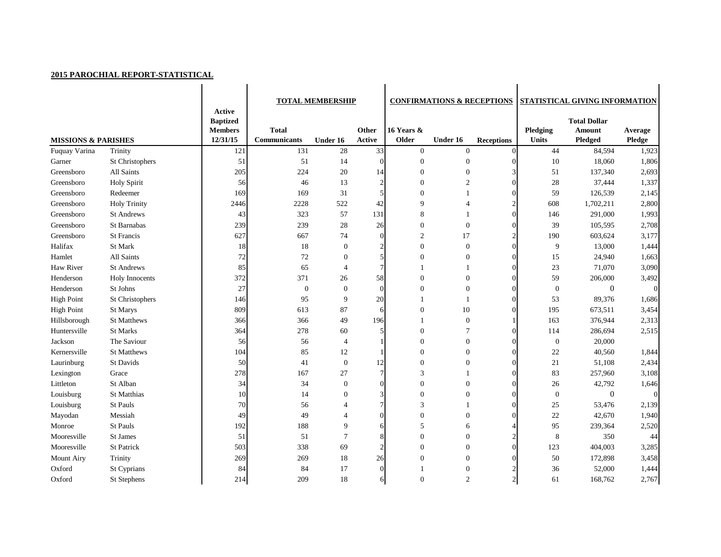## **2015 PAROCHIAL REPORT-STATISTICAL**

|                                |                     |                                                                | <b>TOTAL MEMBERSHIP</b>             |                  |                 | <b>CONFIRMATIONS &amp; RECEPTIONS</b> |                  | <b>STATISTICAL GIVING INFORMATION</b> |                                 |                                                        |                          |
|--------------------------------|---------------------|----------------------------------------------------------------|-------------------------------------|------------------|-----------------|---------------------------------------|------------------|---------------------------------------|---------------------------------|--------------------------------------------------------|--------------------------|
| <b>MISSIONS &amp; PARISHES</b> |                     | <b>Active</b><br><b>Baptized</b><br><b>Members</b><br>12/31/15 | <b>Total</b><br><b>Communicants</b> | Under 16         | Other<br>Active | 16 Years &<br>Older                   | Under 16         | <b>Receptions</b>                     | <b>Pledging</b><br><b>Units</b> | <b>Total Dollar</b><br><b>Amount</b><br><b>Pledged</b> | Average<br><b>Pledge</b> |
| Fuquay Varina                  | Trinity             | 121                                                            | 131                                 | 28               | 33              | $\mathbf{0}$                          | $\boldsymbol{0}$ |                                       | 44                              | 84,594                                                 | 1,923                    |
| Garner                         | St Christophers     | 51                                                             | 51                                  | 14               | $\overline{0}$  | $\overline{0}$                        | $\mathbf{0}$     |                                       | 10                              | 18,060                                                 | 1,806                    |
| Greensboro                     | All Saints          | 205                                                            | 224                                 | 20               | 14              | $\overline{0}$                        | $\overline{0}$   |                                       | 51                              | 137,340                                                | 2,693                    |
| Greensboro                     | <b>Holy Spirit</b>  | 56                                                             | 46                                  | 13               | 2               | $\theta$                              | $\overline{2}$   |                                       | 28                              | 37,444                                                 | 1,337                    |
| Greensboro                     | Redeemer            | 169                                                            | 169                                 | 31               | 5               | $\boldsymbol{0}$                      |                  |                                       | 59                              | 126,539                                                | 2,145                    |
| Greensboro                     | <b>Holy Trinity</b> | 2446                                                           | 2228                                | 522              | 42              | 9                                     | 4                |                                       | 608                             | 1,702,211                                              | 2,800                    |
| Greensboro                     | <b>St Andrews</b>   | 43                                                             | 323                                 | 57               | 131             | 8                                     |                  |                                       | 146                             | 291,000                                                | 1,993                    |
| Greensboro                     | St Barnabas         | 239                                                            | 239                                 | 28               | 26              | $\boldsymbol{0}$                      | $\overline{0}$   |                                       | 39                              | 105,595                                                | 2,708                    |
| Greensboro                     | <b>St Francis</b>   | 627                                                            | 667                                 | 74               | $\Omega$        | $\overline{2}$                        | 17               |                                       | 190                             | 603,624                                                | 3,177                    |
| Halifax                        | St Mark             | 18                                                             | 18                                  | $\boldsymbol{0}$ | ↑               | $\boldsymbol{0}$                      | $\overline{0}$   |                                       | 9                               | 13,000                                                 | 1,444                    |
| Hamlet                         | All Saints          | 72                                                             | 72                                  | $\theta$         |                 | $\Omega$                              | $\overline{0}$   |                                       | 15                              | 24,940                                                 | 1,663                    |
| Haw River                      | <b>St Andrews</b>   | 85                                                             | 65                                  | $\overline{4}$   |                 |                                       |                  |                                       | 23                              | 71,070                                                 | 3,090                    |
| Henderson                      | Holy Innocents      | 372                                                            | 371                                 | 26               | 58              | $\overline{0}$                        | $\overline{0}$   |                                       | 59                              | 206,000                                                | 3,492                    |
| Henderson                      | St Johns            | 27                                                             | $\overline{0}$                      | $\boldsymbol{0}$ | $\theta$        | $\overline{0}$                        | $\overline{0}$   |                                       | $\boldsymbol{0}$                | $\theta$                                               | $\Omega$                 |
| <b>High Point</b>              | St Christophers     | 146                                                            | 95                                  | 9                | $20\,$          |                                       |                  |                                       | 53                              | 89,376                                                 | 1,686                    |
| <b>High Point</b>              | St Marys            | 809                                                            | 613                                 | 87               | 6               | $\boldsymbol{0}$                      | 10               |                                       | 195                             | 673,511                                                | 3,454                    |
| Hillsborough                   | <b>St Matthews</b>  | 366                                                            | 366                                 | 49               | 196             |                                       | $\overline{0}$   |                                       | 163                             | 376,944                                                | 2,313                    |
| Huntersville                   | <b>St Marks</b>     | 364                                                            | 278                                 | 60               | 5               | $\overline{0}$                        | $\tau$           |                                       | 114                             | 286,694                                                | 2,515                    |
| Jackson                        | The Saviour         | 56                                                             | 56                                  | $\overline{4}$   |                 | $\overline{0}$                        | $\overline{0}$   |                                       | $\boldsymbol{0}$                | 20,000                                                 |                          |
| Kernersville                   | <b>St Matthews</b>  | 104                                                            | 85                                  | 12               |                 | $\boldsymbol{0}$                      | $\boldsymbol{0}$ |                                       | $22\,$                          | 40,560                                                 | 1,844                    |
| Laurinburg                     | St Davids           | 50                                                             | 41                                  | $\boldsymbol{0}$ | 12              | $\overline{0}$                        | $\boldsymbol{0}$ |                                       | 21                              | 51,108                                                 | 2,434                    |
| Lexington                      | Grace               | 278                                                            | 167                                 | 27               |                 | 3                                     |                  |                                       | 83                              | 257,960                                                | 3,108                    |
| Littleton                      | St Alban            | 34                                                             | 34                                  | $\boldsymbol{0}$ | 0               | $\theta$                              | 0                |                                       | 26                              | 42,792                                                 | 1,646                    |
| Louisburg                      | St Matthias         | 10                                                             | 14                                  | $\theta$         |                 | $\overline{0}$                        | $\theta$         |                                       | $\boldsymbol{0}$                | $\overline{0}$                                         | $\Omega$                 |
| Louisburg                      | St Pauls            | 70                                                             | 56                                  |                  |                 | 3                                     |                  |                                       | $25\,$                          | 53,476                                                 | 2,139                    |
| Mayodan                        | Messiah             | 49                                                             | 49                                  |                  | 0               | $\Omega$                              | $\Omega$         |                                       | 22                              | 42,670                                                 | 1,940                    |
| Monroe                         | St Pauls            | 192                                                            | 188                                 |                  | 6               | 5                                     | 6                |                                       | 95                              | 239,364                                                | 2,520                    |
| Mooresville                    | St James            | 51                                                             | 51                                  |                  |                 | $\theta$                              | $\overline{0}$   |                                       | $\,8\,$                         | 350                                                    | 44                       |
| Mooresville                    | St Patrick          | 503                                                            | 338                                 | 69               |                 | $\theta$                              | $\mathbf{0}$     |                                       | 123                             | 404,003                                                | 3,285                    |
| <b>Mount Airy</b>              | Trinity             | 269                                                            | 269                                 | $18\,$           | 26              | $\theta$                              | $\overline{0}$   |                                       | 50                              | 172,898                                                | 3,458                    |
| Oxford                         | St Cyprians         | 84                                                             | 84                                  | 17               |                 |                                       | $\mathbf{0}$     |                                       | 36                              | 52,000                                                 | 1,444                    |
| Oxford                         | St Stephens         | 214                                                            | 209                                 | $18\,$           |                 | $\boldsymbol{0}$                      | $\boldsymbol{2}$ |                                       | 61                              | 168,762                                                | 2,767                    |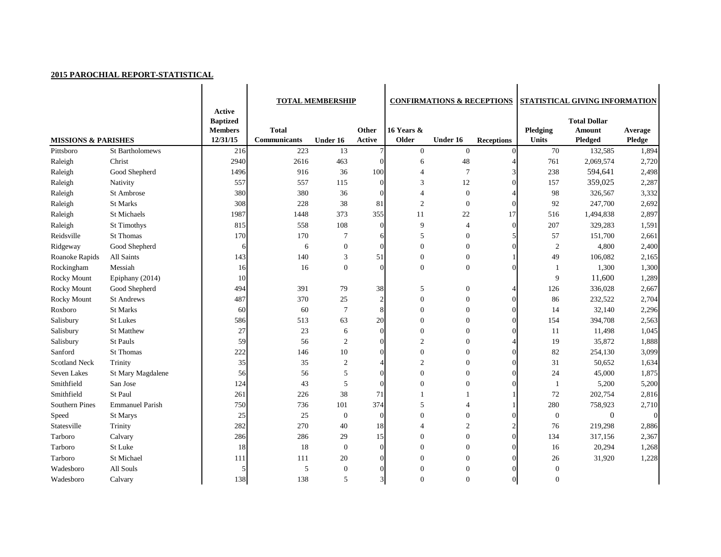## **2015 PAROCHIAL REPORT-STATISTICAL**

|                                |                        | <b>Active</b>              | <b>TOTAL MEMBERSHIP</b>             |                  |                 | <b>CONFIRMATIONS &amp; RECEPTIONS</b> |                  |                   | STATISTICAL GIVING INFORMATION |                     |                  |  |
|--------------------------------|------------------------|----------------------------|-------------------------------------|------------------|-----------------|---------------------------------------|------------------|-------------------|--------------------------------|---------------------|------------------|--|
|                                |                        | <b>Baptized</b>            |                                     |                  |                 |                                       |                  |                   |                                | <b>Total Dollar</b> |                  |  |
|                                |                        | <b>Members</b><br>12/31/15 | <b>Total</b><br><b>Communicants</b> |                  | Other<br>Active | 16 Years &<br>Older                   | Under 16         |                   | Pledging<br><b>Units</b>       | <b>Amount</b>       | Average          |  |
| <b>MISSIONS &amp; PARISHES</b> |                        |                            |                                     | Under 16         |                 |                                       |                  | <b>Receptions</b> |                                | <b>Pledged</b>      | <b>Pledge</b>    |  |
| Pittsboro                      | St Bartholomews        | 216                        | 223                                 | 13               |                 | $\boldsymbol{0}$                      | $\boldsymbol{0}$ | $\Omega$          | 70                             | 132,585             | 1,894            |  |
| Raleigh                        | Christ                 | 2940                       | 2616                                | 463              | $\Omega$        | 6                                     | 48               |                   | 761                            | 2,069,574           | 2,720            |  |
| Raleigh                        | Good Shepherd          | 1496                       | 916                                 | 36               | 100             | $\overline{\mathcal{A}}$              | $\overline{7}$   |                   | 238                            | 594,641             | 2,498            |  |
| Raleigh                        | Nativity               | 557                        | 557                                 | 115              | $\theta$        | 3                                     | 12               |                   | 157                            | 359,025             | 2,287            |  |
| Raleigh                        | St Ambrose             | 380                        | 380                                 | 36               | $\Omega$        |                                       | $\boldsymbol{0}$ |                   | 98                             | 326,567             | 3,332            |  |
| Raleigh                        | St Marks               | 308                        | 228                                 | 38               | 81              | $\overline{2}$                        | $\boldsymbol{0}$ |                   | 92                             | 247,700             | 2,692            |  |
| Raleigh                        | St Michaels            | 1987                       | 1448                                | 373              | 355             | 11                                    | 22               | 17                | 516                            | 1,494,838           | 2,897            |  |
| Raleigh                        | <b>St Timothys</b>     | 815                        | 558                                 | 108              | $\Omega$        | 9                                     | $\overline{4}$   | ∩                 | 207                            | 329,283             | 1,591            |  |
| Reidsville                     | <b>St Thomas</b>       | 170                        | 170                                 | 7                | 6               | 5                                     | $\boldsymbol{0}$ |                   | 57                             | 151,700             | 2,661            |  |
| Ridgeway                       | Good Shepherd          | 6                          | 6                                   | $\boldsymbol{0}$ | $\Omega$        | $\boldsymbol{0}$                      | $\boldsymbol{0}$ |                   | $\sqrt{2}$                     | 4,800               | 2,400            |  |
| Roanoke Rapids                 | All Saints             | 143                        | 140                                 | 3                | 51              | $\theta$                              | $\boldsymbol{0}$ |                   | 49                             | 106,082             | 2,165            |  |
| Rockingham                     | Messiah                | 16                         | 16                                  | $\boldsymbol{0}$ | $\Omega$        | $\overline{0}$                        | $\boldsymbol{0}$ |                   |                                | 1,300               | 1,300            |  |
| <b>Rocky Mount</b>             | Epiphany (2014)        | 10                         |                                     |                  |                 |                                       |                  |                   | 9                              | 11,600              | 1,289            |  |
| <b>Rocky Mount</b>             | Good Shepherd          | 494                        | 391                                 | 79               | 38              | 5                                     | $\boldsymbol{0}$ |                   | 126                            | 336,028             | 2,667            |  |
| Rocky Mount                    | <b>St Andrews</b>      | 487                        | 370                                 | 25               | $\overline{2}$  | $\boldsymbol{0}$                      | $\boldsymbol{0}$ |                   | 86                             | 232,522             | 2,704            |  |
| Roxboro                        | <b>St Marks</b>        | 60                         | 60                                  | $\overline{7}$   | 8               | $\boldsymbol{0}$                      | $\boldsymbol{0}$ |                   | 14                             | 32,140              | 2,296            |  |
| Salisbury                      | <b>St Lukes</b>        | 586                        | 513                                 | 63               | 20              | $\overline{0}$                        | $\theta$         |                   | 154                            | 394,708             | 2,563            |  |
| Salisbury                      | <b>St Matthew</b>      | 27                         | 23                                  | 6                | $\Omega$        | $\boldsymbol{0}$                      | $\mathbf{0}$     |                   | 11                             | 11,498              | 1,045            |  |
| Salisbury                      | St Pauls               | 59                         | 56                                  | $\overline{2}$   | $\Omega$        | $\overline{2}$                        | $\mathbf{0}$     |                   | 19                             | 35,872              | 1,888            |  |
| Sanford                        | <b>St Thomas</b>       | 222                        | 146                                 | 10               |                 | $\boldsymbol{0}$                      | $\boldsymbol{0}$ |                   | 82                             | 254,130             | 3,099            |  |
| <b>Scotland Neck</b>           | Trinity                | 35                         | 35                                  | $\boldsymbol{2}$ |                 | $\overline{2}$                        | $\boldsymbol{0}$ |                   | 31                             | 50,652              | 1,634            |  |
| Seven Lakes                    | St Mary Magdalene      | 56                         | 56                                  | $\mathfrak{S}$   | $\Omega$        | $\boldsymbol{0}$                      | $\mathbf{0}$     |                   | 24                             | 45,000              | 1,875            |  |
| Smithfield                     | San Jose               | 124                        | 43                                  | 5                | $\Omega$        | $\overline{0}$                        | $\theta$         |                   |                                | 5,200               | 5,200            |  |
| Smithfield                     | St Paul                | 261                        | 226                                 | 38               | 71              |                                       |                  |                   | 72                             | 202,754             | 2,816            |  |
| <b>Southern Pines</b>          | <b>Emmanuel Parish</b> | 750                        | 736                                 | 101              | 374             | 5                                     |                  |                   | 280                            | 758,923             | 2,710            |  |
| Speed                          | St Marys               | 25                         | 25                                  | $\boldsymbol{0}$ | $\overline{0}$  | $\Omega$                              | $\Omega$         |                   | $\theta$                       | $\mathbf{0}$        | $\boldsymbol{0}$ |  |
| Statesville                    | Trinity                | 282                        | 270                                 | 40               | 18              |                                       | $\overline{2}$   |                   | 76                             | 219,298             | 2,886            |  |
| Tarboro                        | Calvary                | 286                        | 286                                 | 29               | 15              | $\theta$                              | $\mathbf{0}$     |                   | 134                            | 317,156             | 2,367            |  |
| Tarboro                        | St Luke                | 18                         | 18                                  | $\boldsymbol{0}$ | $\overline{0}$  | $\theta$                              | $\boldsymbol{0}$ |                   | 16                             | 20,294              | 1,268            |  |
| Tarboro                        | St Michael             | 111                        | 111                                 | 20               |                 | $\theta$                              | $\boldsymbol{0}$ |                   | 26                             | 31,920              | 1,228            |  |
| Wadesboro                      | All Souls              | 5                          | $\mathfrak{S}$                      | $\boldsymbol{0}$ |                 | $\boldsymbol{0}$                      | $\mathbf{0}$     |                   | $\boldsymbol{0}$               |                     |                  |  |
| Wadesboro                      | Calvary                | 138                        | 138                                 | $\sqrt{5}$       |                 | $\boldsymbol{0}$                      | $\boldsymbol{0}$ |                   | $\boldsymbol{0}$               |                     |                  |  |